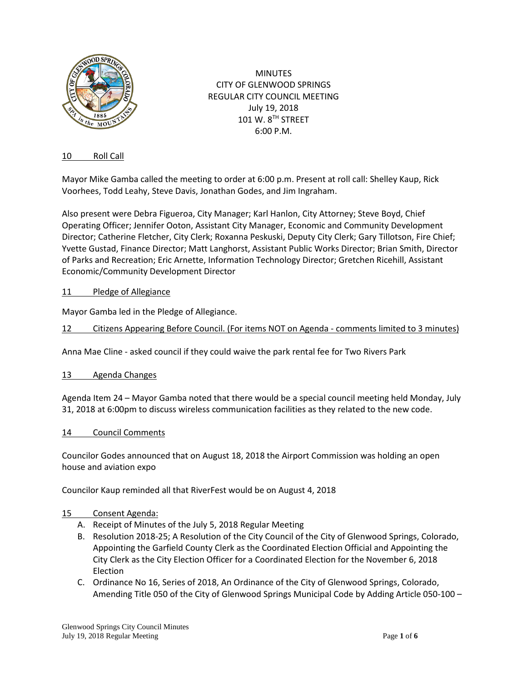

MINUTES CITY OF GLENWOOD SPRINGS REGULAR CITY COUNCIL MEETING July 19, 2018 101 W. 8TH STREET 6:00 P.M.

### 10 Roll Call

Mayor Mike Gamba called the meeting to order at 6:00 p.m. Present at roll call: Shelley Kaup, Rick Voorhees, Todd Leahy, Steve Davis, Jonathan Godes, and Jim Ingraham.

Also present were Debra Figueroa, City Manager; Karl Hanlon, City Attorney; Steve Boyd, Chief Operating Officer; Jennifer Ooton, Assistant City Manager, Economic and Community Development Director; Catherine Fletcher, City Clerk; Roxanna Peskuski, Deputy City Clerk; Gary Tillotson, Fire Chief; Yvette Gustad, Finance Director; Matt Langhorst, Assistant Public Works Director; Brian Smith, Director of Parks and Recreation; Eric Arnette, Information Technology Director; Gretchen Ricehill, Assistant Economic/Community Development Director

### 11 Pledge of Allegiance

Mayor Gamba led in the Pledge of Allegiance.

12 Citizens Appearing Before Council. (For items NOT on Agenda - comments limited to 3 minutes)

Anna Mae Cline - asked council if they could waive the park rental fee for Two Rivers Park

#### 13 Agenda Changes

Agenda Item 24 – Mayor Gamba noted that there would be a special council meeting held Monday, July 31, 2018 at 6:00pm to discuss wireless communication facilities as they related to the new code.

#### 14 Council Comments

Councilor Godes announced that on August 18, 2018 the Airport Commission was holding an open house and aviation expo

Councilor Kaup reminded all that RiverFest would be on August 4, 2018

#### 15 Consent Agenda:

- A. Receipt of Minutes of the July 5, 2018 Regular Meeting
- B. Resolution 2018-25; A Resolution of the City Council of the City of Glenwood Springs, Colorado, Appointing the Garfield County Clerk as the Coordinated Election Official and Appointing the City Clerk as the City Election Officer for a Coordinated Election for the November 6, 2018 Election
- C. Ordinance No 16, Series of 2018, An Ordinance of the City of Glenwood Springs, Colorado, Amending Title 050 of the City of Glenwood Springs Municipal Code by Adding Article 050-100 –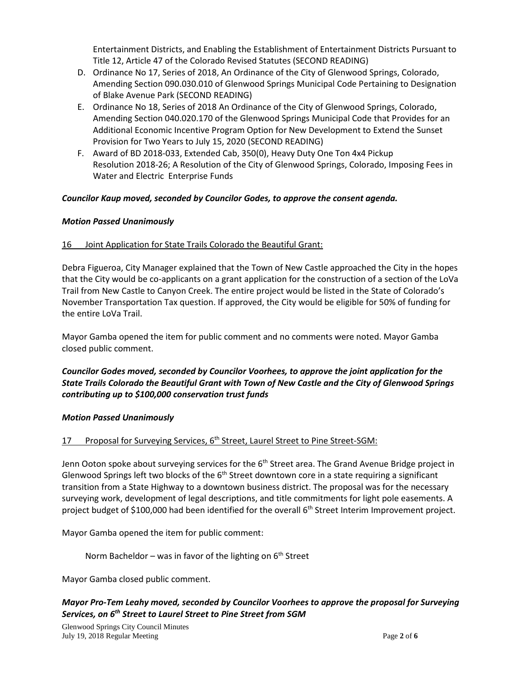Entertainment Districts, and Enabling the Establishment of Entertainment Districts Pursuant to Title 12, Article 47 of the Colorado Revised Statutes (SECOND READING)

- D. Ordinance No 17, Series of 2018, An Ordinance of the City of Glenwood Springs, Colorado, Amending Section 090.030.010 of Glenwood Springs Municipal Code Pertaining to Designation of Blake Avenue Park (SECOND READING)
- E. Ordinance No 18, Series of 2018 An Ordinance of the City of Glenwood Springs, Colorado, Amending Section 040.020.170 of the Glenwood Springs Municipal Code that Provides for an Additional Economic Incentive Program Option for New Development to Extend the Sunset Provision for Two Years to July 15, 2020 (SECOND READING)
- F. Award of BD 2018-033, Extended Cab, 350(0), Heavy Duty One Ton 4x4 Pickup Resolution 2018-26; A Resolution of the City of Glenwood Springs, Colorado, Imposing Fees in Water and Electric Enterprise Funds

## *Councilor Kaup moved, seconded by Councilor Godes, to approve the consent agenda.*

## *Motion Passed Unanimously*

## 16 Joint Application for State Trails Colorado the Beautiful Grant:

Debra Figueroa, City Manager explained that the Town of New Castle approached the City in the hopes that the City would be co-applicants on a grant application for the construction of a section of the LoVa Trail from New Castle to Canyon Creek. The entire project would be listed in the State of Colorado's November Transportation Tax question. If approved, the City would be eligible for 50% of funding for the entire LoVa Trail.

Mayor Gamba opened the item for public comment and no comments were noted. Mayor Gamba closed public comment.

## *Councilor Godes moved, seconded by Councilor Voorhees, to approve the joint application for the State Trails Colorado the Beautiful Grant with Town of New Castle and the City of Glenwood Springs contributing up to \$100,000 conservation trust funds*

## *Motion Passed Unanimously*

# 17 Proposal for Surveying Services, 6<sup>th</sup> Street, Laurel Street to Pine Street-SGM:

Jenn Ooton spoke about surveying services for the 6<sup>th</sup> Street area. The Grand Avenue Bridge project in Glenwood Springs left two blocks of the  $6<sup>th</sup>$  Street downtown core in a state requiring a significant transition from a State Highway to a downtown business district. The proposal was for the necessary surveying work, development of legal descriptions, and title commitments for light pole easements. A project budget of \$100,000 had been identified for the overall 6<sup>th</sup> Street Interim Improvement project.

Mayor Gamba opened the item for public comment:

Norm Bacheldor – was in favor of the lighting on  $6<sup>th</sup>$  Street

Mayor Gamba closed public comment.

# *Mayor Pro-Tem Leahy moved, seconded by Councilor Voorhees to approve the proposal for Surveying Services, on 6th Street to Laurel Street to Pine Street from SGM*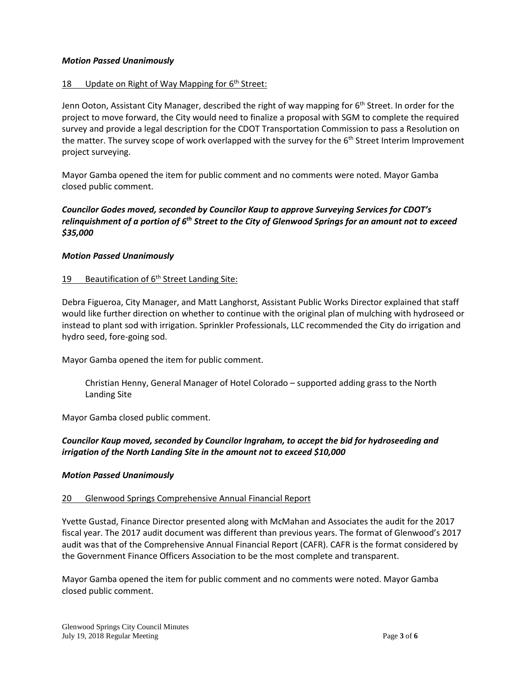#### *Motion Passed Unanimously*

#### 18 Update on Right of Way Mapping for  $6<sup>th</sup>$  Street:

Jenn Ooton, Assistant City Manager, described the right of way mapping for 6<sup>th</sup> Street. In order for the project to move forward, the City would need to finalize a proposal with SGM to complete the required survey and provide a legal description for the CDOT Transportation Commission to pass a Resolution on the matter. The survey scope of work overlapped with the survey for the 6<sup>th</sup> Street Interim Improvement project surveying.

Mayor Gamba opened the item for public comment and no comments were noted. Mayor Gamba closed public comment.

## *Councilor Godes moved, seconded by Councilor Kaup to approve Surveying Services for CDOT's relinquishment of a portion of 6th Street to the City of Glenwood Springs for an amount not to exceed \$35,000*

#### *Motion Passed Unanimously*

#### 19 Beautification of  $6<sup>th</sup>$  Street Landing Site:

Debra Figueroa, City Manager, and Matt Langhorst, Assistant Public Works Director explained that staff would like further direction on whether to continue with the original plan of mulching with hydroseed or instead to plant sod with irrigation. Sprinkler Professionals, LLC recommended the City do irrigation and hydro seed, fore-going sod.

Mayor Gamba opened the item for public comment.

Christian Henny, General Manager of Hotel Colorado – supported adding grass to the North Landing Site

Mayor Gamba closed public comment.

### *Councilor Kaup moved, seconded by Councilor Ingraham, to accept the bid for hydroseeding and irrigation of the North Landing Site in the amount not to exceed \$10,000*

#### *Motion Passed Unanimously*

#### 20 Glenwood Springs Comprehensive Annual Financial Report

Yvette Gustad, Finance Director presented along with McMahan and Associates the audit for the 2017 fiscal year. The 2017 audit document was different than previous years. The format of Glenwood's 2017 audit was that of the Comprehensive Annual Financial Report (CAFR). CAFR is the format considered by the Government Finance Officers Association to be the most complete and transparent.

Mayor Gamba opened the item for public comment and no comments were noted. Mayor Gamba closed public comment.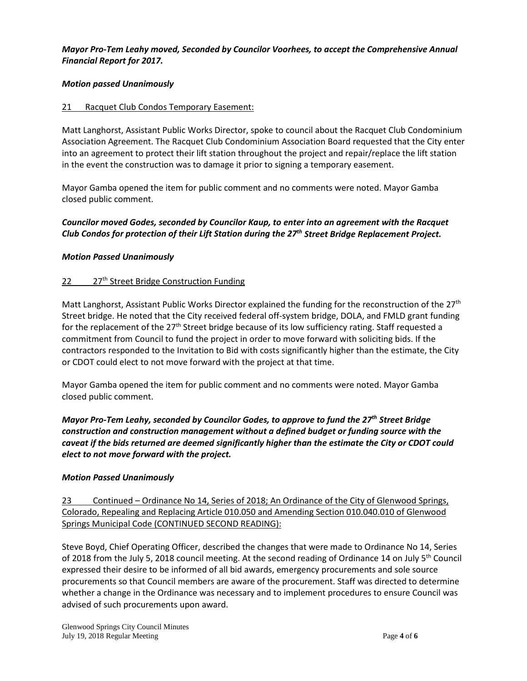#### *Mayor Pro-Tem Leahy moved, Seconded by Councilor Voorhees, to accept the Comprehensive Annual Financial Report for 2017.*

#### *Motion passed Unanimously*

#### 21 Racquet Club Condos Temporary Easement:

Matt Langhorst, Assistant Public Works Director, spoke to council about the Racquet Club Condominium Association Agreement. The Racquet Club Condominium Association Board requested that the City enter into an agreement to protect their lift station throughout the project and repair/replace the lift station in the event the construction was to damage it prior to signing a temporary easement.

Mayor Gamba opened the item for public comment and no comments were noted. Mayor Gamba closed public comment.

### *Councilor moved Godes, seconded by Councilor Kaup, to enter into an agreement with the Racquet Club Condos for protection of their Lift Station during the 27th Street Bridge Replacement Project.*

### *Motion Passed Unanimously*

### 22 27<sup>th</sup> Street Bridge Construction Funding

Matt Langhorst, Assistant Public Works Director explained the funding for the reconstruction of the 27<sup>th</sup> Street bridge. He noted that the City received federal off-system bridge, DOLA, and FMLD grant funding for the replacement of the  $27<sup>th</sup>$  Street bridge because of its low sufficiency rating. Staff requested a commitment from Council to fund the project in order to move forward with soliciting bids. If the contractors responded to the Invitation to Bid with costs significantly higher than the estimate, the City or CDOT could elect to not move forward with the project at that time.

Mayor Gamba opened the item for public comment and no comments were noted. Mayor Gamba closed public comment.

*Mayor Pro-Tem Leahy, seconded by Councilor Godes, to approve to fund the 27th Street Bridge construction and construction management without a defined budget or funding source with the caveat if the bids returned are deemed significantly higher than the estimate the City or CDOT could elect to not move forward with the project.*

#### *Motion Passed Unanimously*

23 Continued – Ordinance No 14, Series of 2018; An Ordinance of the City of Glenwood Springs, Colorado, Repealing and Replacing Article 010.050 and Amending Section 010.040.010 of Glenwood Springs Municipal Code (CONTINUED SECOND READING):

Steve Boyd, Chief Operating Officer, described the changes that were made to Ordinance No 14, Series of 2018 from the July 5, 2018 council meeting. At the second reading of Ordinance 14 on July 5th Council expressed their desire to be informed of all bid awards, emergency procurements and sole source procurements so that Council members are aware of the procurement. Staff was directed to determine whether a change in the Ordinance was necessary and to implement procedures to ensure Council was advised of such procurements upon award.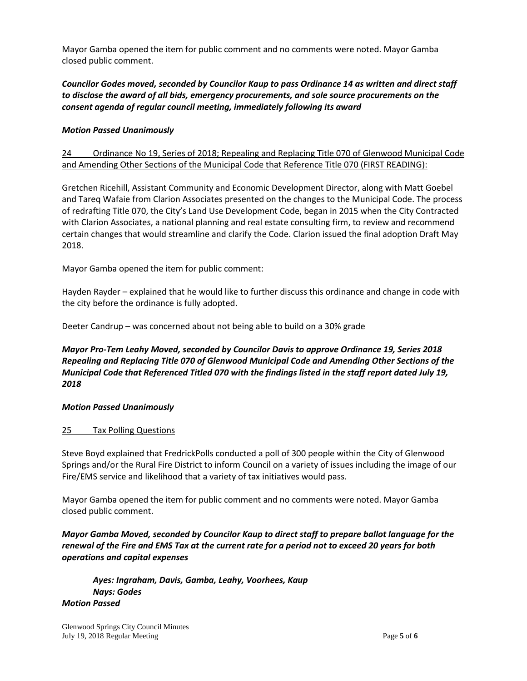Mayor Gamba opened the item for public comment and no comments were noted. Mayor Gamba closed public comment.

## *Councilor Godes moved, seconded by Councilor Kaup to pass Ordinance 14 as written and direct staff to disclose the award of all bids, emergency procurements, and sole source procurements on the consent agenda of regular council meeting, immediately following its award*

### *Motion Passed Unanimously*

## 24 Ordinance No 19, Series of 2018; Repealing and Replacing Title 070 of Glenwood Municipal Code and Amending Other Sections of the Municipal Code that Reference Title 070 (FIRST READING):

Gretchen Ricehill, Assistant Community and Economic Development Director, along with Matt Goebel and Tareq Wafaie from Clarion Associates presented on the changes to the Municipal Code. The process of redrafting Title 070, the City's Land Use Development Code, began in 2015 when the City Contracted with Clarion Associates, a national planning and real estate consulting firm, to review and recommend certain changes that would streamline and clarify the Code. Clarion issued the final adoption Draft May 2018.

Mayor Gamba opened the item for public comment:

Hayden Rayder – explained that he would like to further discuss this ordinance and change in code with the city before the ordinance is fully adopted.

Deeter Candrup – was concerned about not being able to build on a 30% grade

## *Mayor Pro-Tem Leahy Moved, seconded by Councilor Davis to approve Ordinance 19, Series 2018 Repealing and Replacing Title 070 of Glenwood Municipal Code and Amending Other Sections of the Municipal Code that Referenced Titled 070 with the findings listed in the staff report dated July 19, 2018*

#### *Motion Passed Unanimously*

#### 25 Tax Polling Questions

Steve Boyd explained that FredrickPolls conducted a poll of 300 people within the City of Glenwood Springs and/or the Rural Fire District to inform Council on a variety of issues including the image of our Fire/EMS service and likelihood that a variety of tax initiatives would pass.

Mayor Gamba opened the item for public comment and no comments were noted. Mayor Gamba closed public comment.

*Mayor Gamba Moved, seconded by Councilor Kaup to direct staff to prepare ballot language for the renewal of the Fire and EMS Tax at the current rate for a period not to exceed 20 years for both operations and capital expenses*

*Ayes: Ingraham, Davis, Gamba, Leahy, Voorhees, Kaup Nays: Godes Motion Passed*